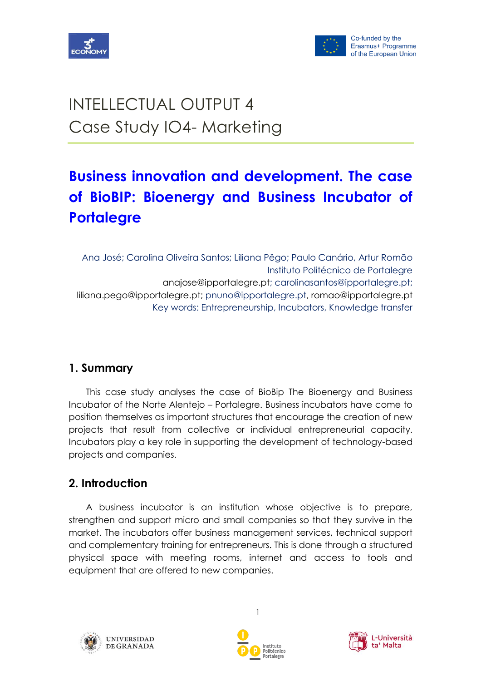



# INTELLECTUAL OUTPUT 4 Case Study IO4- Marketing

## **Business innovation and development. The case of BioBIP: Bioenergy and Business Incubator of Portalegre**

Ana José; Carolina Oliveira Santos; Liliana Pêgo; Paulo Canário, Artur Romão Instituto Politécnico de Portalegre anajose@ipportalegre.pt; carolinasantos@ipportalegre.pt; liliana.pego@ipportalegre.pt; pnuno@ipportalegre.pt, romao@ipportalegre.pt Key words: Entrepreneurship, Incubators, Knowledge transfer

## **1. Summary**

This case study analyses the case of BioBip The Bioenergy and Business Incubator of the Norte Alentejo – Portalegre. Business incubators have come to position themselves as important structures that encourage the creation of new projects that result from collective or individual entrepreneurial capacity. Incubators play a key role in supporting the development of technology-based projects and companies.

## **2. Introduction**

A business incubator is an institution whose objective is to prepare, strengthen and support micro and small companies so that they survive in the market. The incubators offer business management services, technical support and complementary training for entrepreneurs. This is done through a structured physical space with meeting rooms, internet and access to tools and equipment that are offered to new companies.





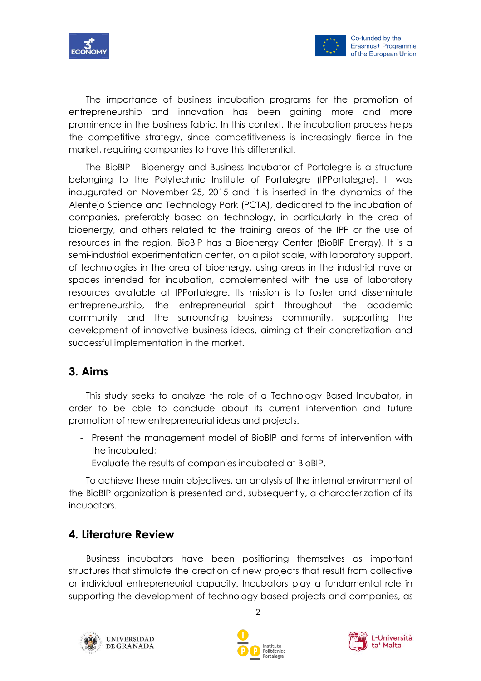



The importance of business incubation programs for the promotion of entrepreneurship and innovation has been gaining more and more prominence in the business fabric. In this context, the incubation process helps the competitive strategy, since competitiveness is increasingly fierce in the market, requiring companies to have this differential.

The BioBIP - Bioenergy and Business Incubator of Portalegre is a structure belonging to the Polytechnic Institute of Portalegre (IPPortalegre). It was inaugurated on November 25, 2015 and it is inserted in the dynamics of the Alentejo Science and Technology Park (PCTA), dedicated to the incubation of companies, preferably based on technology, in particularly in the area of bioenergy, and others related to the training areas of the IPP or the use of resources in the region. BioBIP has a Bioenergy Center (BioBIP Energy). It is a semi-industrial experimentation center, on a pilot scale, with laboratory support, of technologies in the area of bioenergy, using areas in the industrial nave or spaces intended for incubation, complemented with the use of laboratory resources available at IPPortalegre. Its mission is to foster and disseminate entrepreneurship, the entrepreneurial spirit throughout the academic community and the surrounding business community, supporting the development of innovative business ideas, aiming at their concretization and successful implementation in the market.

## **3. Aims**

This study seeks to analyze the role of a Technology Based Incubator, in order to be able to conclude about its current intervention and future promotion of new entrepreneurial ideas and projects.

- Present the management model of BioBIP and forms of intervention with the incubated;
- Evaluate the results of companies incubated at BioBIP.

To achieve these main objectives, an analysis of the internal environment of the BioBIP organization is presented and, subsequently, a characterization of its incubators.

## **4. Literature Review**

Business incubators have been positioning themselves as important structures that stimulate the creation of new projects that result from collective or individual entrepreneurial capacity. Incubators play a fundamental role in supporting the development of technology-based projects and companies, as





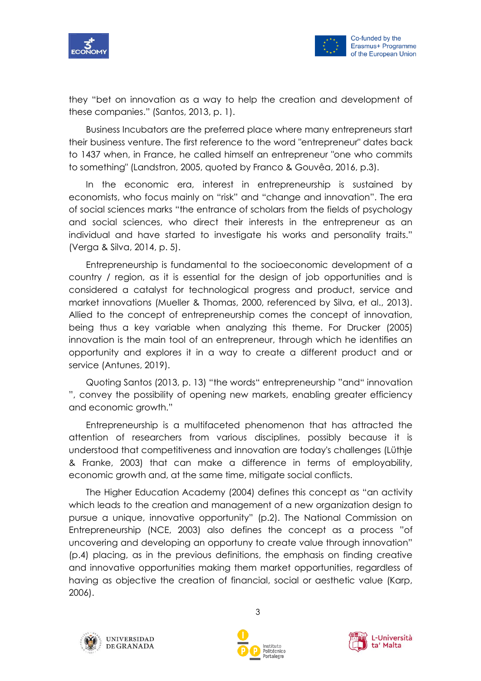



they "bet on innovation as a way to help the creation and development of these companies." (Santos, 2013, p. 1).

Business Incubators are the preferred place where many entrepreneurs start their business venture. The first reference to the word "entrepreneur" dates back to 1437 when, in France, he called himself an entrepreneur "one who commits to something" (Landstron, 2005, quoted by Franco & Gouvêa, 2016, p.3).

In the economic era, interest in entrepreneurship is sustained by economists, who focus mainly on "risk" and "change and innovation". The era of social sciences marks "the entrance of scholars from the fields of psychology and social sciences, who direct their interests in the entrepreneur as an individual and have started to investigate his works and personality traits." (Verga & Silva, 2014, p. 5).

Entrepreneurship is fundamental to the socioeconomic development of a country / region, as it is essential for the design of job opportunities and is considered a catalyst for technological progress and product, service and market innovations (Mueller & Thomas, 2000, referenced by Silva, et al., 2013). Allied to the concept of entrepreneurship comes the concept of innovation, being thus a key variable when analyzing this theme. For Drucker (2005) innovation is the main tool of an entrepreneur, through which he identifies an opportunity and explores it in a way to create a different product and or service (Antunes, 2019).

Quoting Santos (2013, p. 13) "the words" entrepreneurship "and" innovation ", convey the possibility of opening new markets, enabling greater efficiency and economic growth."

Entrepreneurship is a multifaceted phenomenon that has attracted the attention of researchers from various disciplines, possibly because it is understood that competitiveness and innovation are today's challenges (Lüthje & Franke, 2003) that can make a difference in terms of employability, economic growth and, at the same time, mitigate social conflicts.

The Higher Education Academy (2004) defines this concept as "an activity which leads to the creation and management of a new organization design to pursue a unique, innovative opportunity" (p.2). The National Commission on Entrepreneurship (NCE, 2003) also defines the concept as a process "of uncovering and developing an opportuny to create value through innovation" (p.4) placing, as in the previous definitions, the emphasis on finding creative and innovative opportunities making them market opportunities, regardless of having as objective the creation of financial, social or aesthetic value (Karp, 2006).





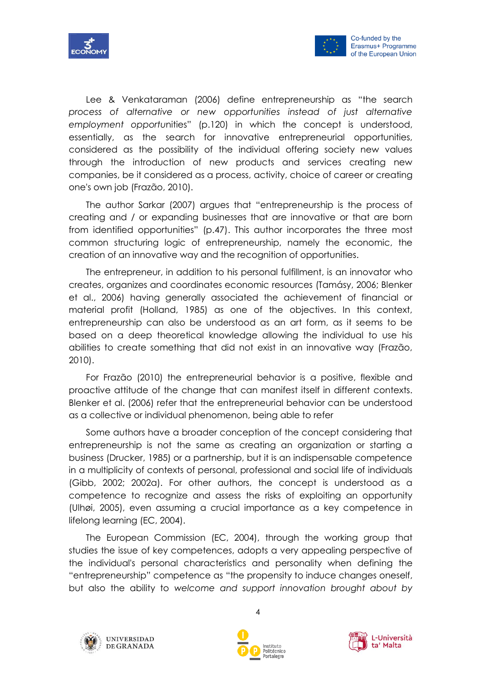



Lee & Venkataraman (2006) define entrepreneurship as "the search *process of alternative or new opportunities instead of just alternative employment opportu*nities" (p.120) in which the concept is understood, essentially, as the search for innovative entrepreneurial opportunities, considered as the possibility of the individual offering society new values through the introduction of new products and services creating new companies, be it considered as a process, activity, choice of career or creating one's own job (Frazão, 2010).

The author Sarkar (2007) argues that "entrepreneurship is the process of creating and / or expanding businesses that are innovative or that are born from identified opportunities" (p.47). This author incorporates the three most common structuring logic of entrepreneurship, namely the economic, the creation of an innovative way and the recognition of opportunities.

The entrepreneur, in addition to his personal fulfillment, is an innovator who creates, organizes and coordinates economic resources (Tamásy, 2006; Blenker et al., 2006) having generally associated the achievement of financial or material profit (Holland, 1985) as one of the objectives. In this context, entrepreneurship can also be understood as an art form, as it seems to be based on a deep theoretical knowledge allowing the individual to use his abilities to create something that did not exist in an innovative way (Frazão, 2010).

For Frazão (2010) the entrepreneurial behavior is a positive, flexible and proactive attitude of the change that can manifest itself in different contexts. Blenker et al. (2006) refer that the entrepreneurial behavior can be understood as a collective or individual phenomenon, being able to refer

Some authors have a broader conception of the concept considering that entrepreneurship is not the same as creating an organization or starting a business (Drucker, 1985) or a partnership, but it is an indispensable competence in a multiplicity of contexts of personal, professional and social life of individuals (Gibb, 2002; 2002a). For other authors, the concept is understood as a competence to recognize and assess the risks of exploiting an opportunity (Ulhøi, 2005), even assuming a crucial importance as a key competence in lifelong learning (EC, 2004).

The European Commission (EC, 2004), through the working group that studies the issue of key competences, adopts a very appealing perspective of the individual's personal characteristics and personality when defining the "entrepreneurship" competence as "the propensity to induce changes oneself, but also the ability to *welcome and support innovation brought about by* 





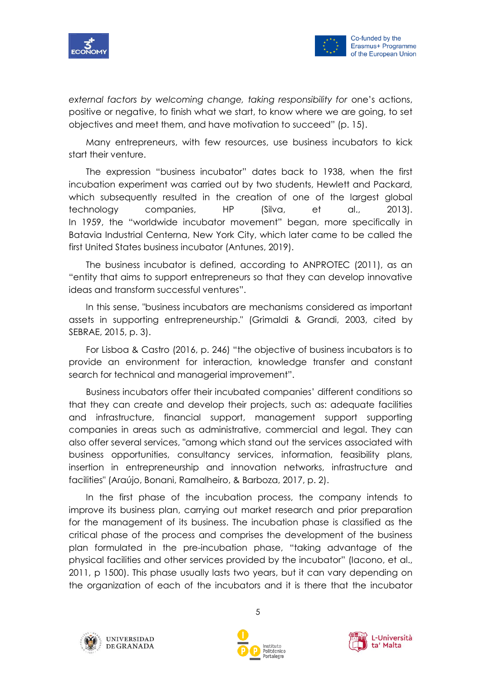



*external factors by welcoming change, taking responsibility for one's actions,* positive or negative, to finish what we start, to know where we are going, to set objectives and meet them, and have motivation to succeed" (p. 15).

Many entrepreneurs, with few resources, use business incubators to kick start their venture.

The expression "business incubator" dates back to 1938, when the first incubation experiment was carried out by two students, Hewlett and Packard, which subsequently resulted in the creation of one of the largest global technology companies, HP (Silva, et al., 2013). In 1959, the "worldwide incubator movement" began, more specifically in Batavia Industrial Centerna, New York City, which later came to be called the first United States business incubator (Antunes, 2019).

The business incubator is defined, according to ANPROTEC (2011), as an "entity that aims to support entrepreneurs so that they can develop innovative ideas and transform successful ventures".

In this sense, "business incubators are mechanisms considered as important assets in supporting entrepreneurship." (Grimaldi & Grandi, 2003, cited by SEBRAE, 2015, p. 3).

For Lisboa & Castro (2016, p. 246) "the objective of business incubators is to provide an environment for interaction, knowledge transfer and constant search for technical and managerial improvement".

Business incubators offer their incubated companies' different conditions so that they can create and develop their projects, such as: adequate facilities and infrastructure, financial support, management support supporting companies in areas such as administrative, commercial and legal. They can also offer several services, "among which stand out the services associated with business opportunities, consultancy services, information, feasibility plans, insertion in entrepreneurship and innovation networks, infrastructure and facilities" (Araújo, Bonani, Ramalheiro, & Barboza, 2017, p. 2).

In the first phase of the incubation process, the company intends to improve its business plan, carrying out market research and prior preparation for the management of its business. The incubation phase is classified as the critical phase of the process and comprises the development of the business plan formulated in the pre-incubation phase, "taking advantage of the physical facilities and other services provided by the incubator" (Iacono, et al., 2011, p 1500). This phase usually lasts two years, but it can vary depending on the organization of each of the incubators and it is there that the incubator





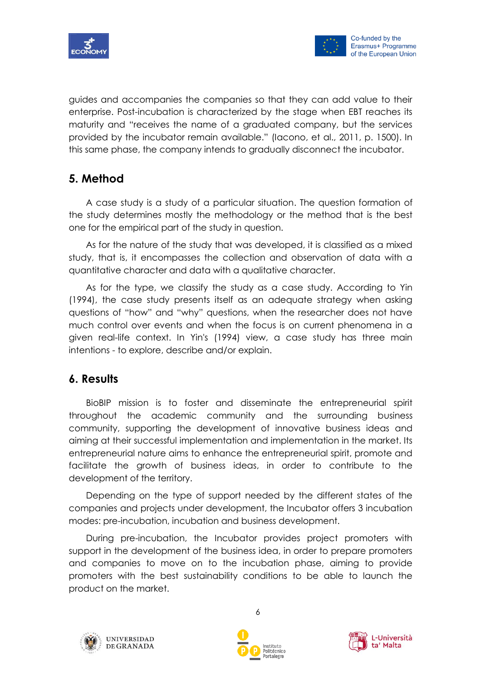

guides and accompanies the companies so that they can add value to their enterprise. Post-incubation is characterized by the stage when EBT reaches its maturity and "receives the name of a graduated company, but the services provided by the incubator remain available." (Iacono, et al., 2011, p. 1500). In this same phase, the company intends to gradually disconnect the incubator.

## **5. Method**

A case study is a study of a particular situation. The question formation of the study determines mostly the methodology or the method that is the best one for the empirical part of the study in question.

As for the nature of the study that was developed, it is classified as a mixed study, that is, it encompasses the collection and observation of data with a quantitative character and data with a qualitative character.

As for the type, we classify the study as a case study. According to Yin (1994), the case study presents itself as an adequate strategy when asking questions of "how" and "why" questions, when the researcher does not have much control over events and when the focus is on current phenomena in a given real-life context. In Yin's (1994) view, a case study has three main intentions - to explore, describe and/or explain.

## **6. Results**

BioBIP mission is to foster and disseminate the entrepreneurial spirit throughout the academic community and the surrounding business community, supporting the development of innovative business ideas and aiming at their successful implementation and implementation in the market. Its entrepreneurial nature aims to enhance the entrepreneurial spirit, promote and facilitate the growth of business ideas, in order to contribute to the development of the territory.

Depending on the type of support needed by the different states of the companies and projects under development, the Incubator offers 3 incubation modes: pre-incubation, incubation and business development.

During pre-incubation, the Incubator provides project promoters with support in the development of the business idea, in order to prepare promoters and companies to move on to the incubation phase, aiming to provide promoters with the best sustainability conditions to be able to launch the product on the market.





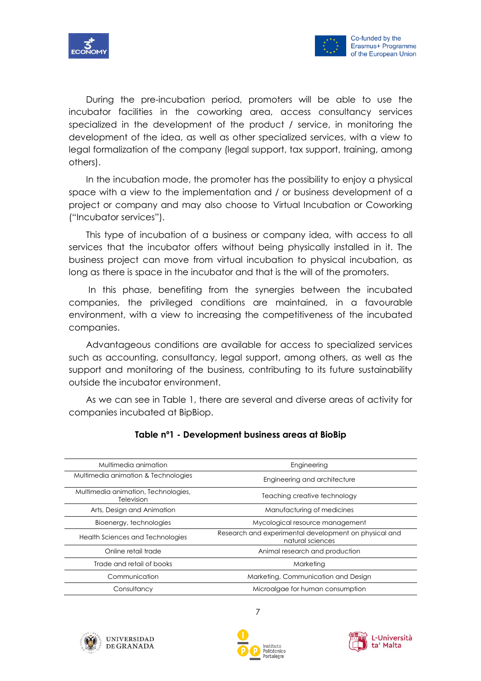



During the pre-incubation period, promoters will be able to use the incubator facilities in the coworking area, access consultancy services specialized in the development of the product / service, in monitoring the development of the idea, as well as other specialized services, with a view to legal formalization of the company (legal support, tax support, training, among others).

In the incubation mode, the promoter has the possibility to enjoy a physical space with a view to the implementation and / or business development of a project or company and may also choose to Virtual Incubation or Coworking ("Incubator services").

This type of incubation of a business or company idea, with access to all services that the incubator offers without being physically installed in it. The business project can move from virtual incubation to physical incubation, as long as there is space in the incubator and that is the will of the promoters.

In this phase, benefiting from the synergies between the incubated companies, the privileged conditions are maintained, in a favourable environment, with a view to increasing the competitiveness of the incubated companies.

Advantageous conditions are available for access to specialized services such as accounting, consultancy, legal support, among others, as well as the support and monitoring of the business, contributing to its future sustainability outside the incubator environment.

As we can see in Table 1, there are several and diverse areas of activity for companies incubated at BipBiop.

| Multimedia animation                              | Engineering                                                               |
|---------------------------------------------------|---------------------------------------------------------------------------|
| Multimedia animation & Technologies               | Engineering and architecture                                              |
| Multimedia animation, Technologies,<br>Television | Teaching creative technology                                              |
| Arts, Design and Animation                        | Manufacturing of medicines                                                |
| Bioenergy, technologies                           | Mycological resource management                                           |
| Health Sciences and Technologies                  | Research and experimental development on physical and<br>natural sciences |
| Online retail trade                               | Animal research and production                                            |
| Trade and retail of books                         | Marketing                                                                 |
| Communication                                     | Marketing, Communication and Design                                       |
| Consultancy                                       | Microalgae for human consumption                                          |

#### **Table nº1 - Development business areas at BioBip**





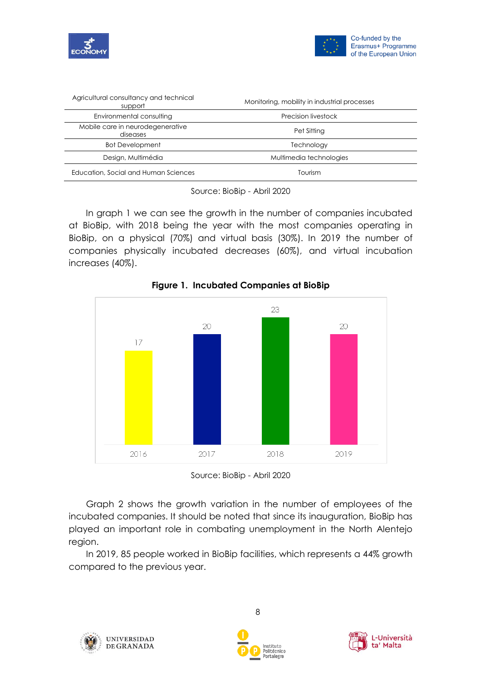



| Agricultural consultancy and technical<br>support | Monitoring, mobility in industrial processes |
|---------------------------------------------------|----------------------------------------------|
| Environmental consulting                          | Precision livestock                          |
| Mobile care in neurodegenerative<br>diseases      | Pet Sitting                                  |
| <b>Bot Development</b>                            | Technology                                   |
| Design, Multimédia                                | Multimedia technologies                      |
| Education, Social and Human Sciences              | Tourism                                      |

Source: BioBip - Abril 2020

In graph 1 we can see the growth in the number of companies incubated at BioBip, with 2018 being the year with the most companies operating in BioBip, on a physical (70%) and virtual basis (30%). In 2019 the number of companies physically incubated decreases (60%), and virtual incubation increases (40%).



**Figure 1. Incubated Companies at BioBip**

Source: BioBip - Abril 2020

Graph 2 shows the growth variation in the number of employees of the incubated companies. It should be noted that since its inauguration, BioBip has played an important role in combating unemployment in the North Alentejo region.

In 2019, 85 people worked in BioBip facilities, which represents a 44% growth compared to the previous year.





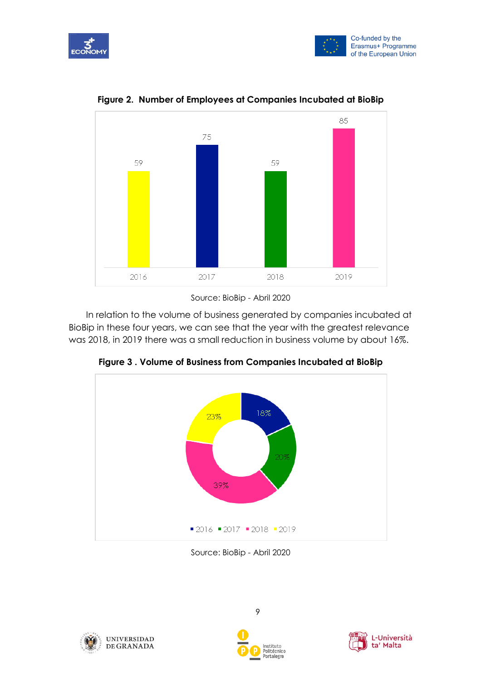





**Figure 2. Number of Employees at Companies Incubated at BioBip**

Source: BioBip - Abril 2020

In relation to the volume of business generated by companies incubated at BioBip in these four years, we can see that the year with the greatest relevance was 2018, in 2019 there was a small reduction in business volume by about 16%.



**Figure 3 . Volume of Business from Companies Incubated at BioBip**

Source: BioBip - Abril 2020





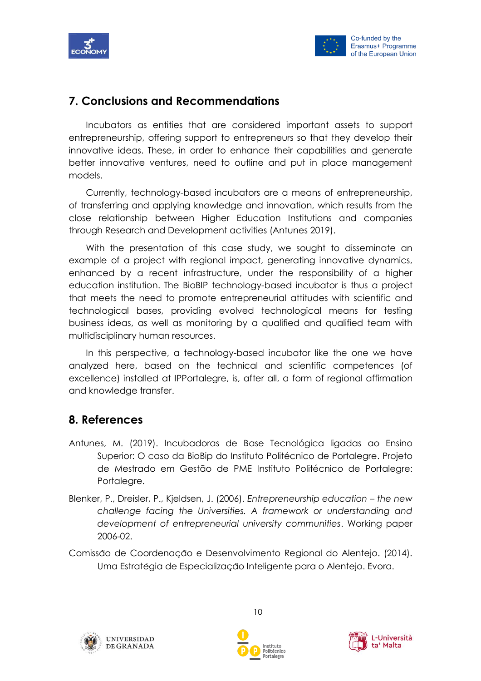



## **7. Conclusions and Recommendations**

Incubators as entities that are considered important assets to support entrepreneurship, offering support to entrepreneurs so that they develop their innovative ideas. These, in order to enhance their capabilities and generate better innovative ventures, need to outline and put in place management models.

Currently, technology-based incubators are a means of entrepreneurship, of transferring and applying knowledge and innovation, which results from the close relationship between Higher Education Institutions and companies through Research and Development activities (Antunes 2019).

With the presentation of this case study, we sought to disseminate an example of a project with regional impact, generating innovative dynamics, enhanced by a recent infrastructure, under the responsibility of a higher education institution. The BioBIP technology-based incubator is thus a project that meets the need to promote entrepreneurial attitudes with scientific and technological bases, providing evolved technological means for testing business ideas, as well as monitoring by a qualified and qualified team with multidisciplinary human resources.

In this perspective, a technology-based incubator like the one we have analyzed here, based on the technical and scientific competences (of excellence) installed at IPPortalegre, is, after all, a form of regional affirmation and knowledge transfer.

## **8. References**

- Antunes, M. (2019). Incubadoras de Base Tecnológica ligadas ao Ensino Superior: O caso da BioBip do Instituto Politécnico de Portalegre. Projeto de Mestrado em Gestão de PME Instituto Politécnico de Portalegre: Portalegre.
- Blenker, P., Dreisler, P., Kjeldsen, J. (2006). *Entrepreneurship education – the new challenge facing the Universities. A framework or understanding and development of entrepreneurial university communities*. Working paper 2006-02.
- Comissão de Coordenacão e Desenvolvimento Regional do Alentejo. (2014). Uma Estratégia de Especialização Inteligente para o Alentejo. Evora.





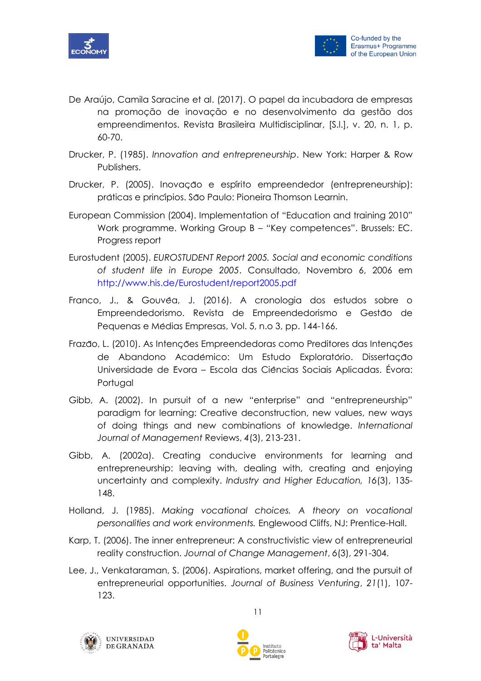



- De Araújo, Camila Saracine et al. (2017). O papel da incubadora de empresas na promoção de inovação e no desenvolvimento da gestão dos empreendimentos. Revista Brasileira Multidisciplinar, [S.l.], v. 20, n. 1, p. 60-70.
- Drucker, P. (1985). *Innovation and entrepreneurship*. New York: Harper & Row Publishers.
- Drucker, P. (2005). Inovação e espírito empreendedor (entrepreneurship): práticas e princípios. São Paulo: Pioneira Thomson Learnin.
- European Commission (2004). Implementation of "Education and training 2010" Work programme. Working Group B – "Key competences". Brussels: EC. Progress report
- Eurostudent (2005). *EUROSTUDENT Report 2005. Social and economic conditions of student life in Europe 2005*. Consultado, Novembro 6, 2006 em http://www.his.de/Eurostudent/report2005.pdf
- Franco, J., & Gouvéa, J. (2016). A cronologia dos estudos sobre o Empreendedorismo. Revista de Empreendedorismo e Gestão de Pequenas e Médias Empresas, Vol. 5, n.o 3, pp. 144-166.
- Frazão, L. (2010). As Intenções Empreendedoras como Preditores das Intenções de Abandono Académico: Um Estudo Exploratório. Dissertação Universidade de Evora – Escola das Ciências Sociais Aplicadas. Évora: Portugal
- Gibb, A. (2002). In pursuit of a new "enterprise" and "entrepreneurship" paradigm for learning: Creative deconstruction, new values, new ways of doing things and new combinations of knowledge. *International Journal of Management* Reviews, *4*(3), 213-231.
- Gibb, A. (2002a). Creating conducive environments for learning and entrepreneurship: leaving with, dealing with, creating and enjoying uncertainty and complexity. *Industry and Higher Education, 16*(3), 135- 148.
- Holland, J. (1985). *Making vocational choices. A theory on vocational personalities and work environments.* Englewood Cliffs, NJ: Prentice-Hall.
- Karp, T. (2006). The inner entrepreneur: A constructivistic view of entrepreneurial reality construction. *Journal of Change Management*, *6*(3), 291-304.
- Lee, J., Venkataraman, S. (2006). Aspirations, market offering, and the pursuit of entrepreneurial opportunities. *Journal of Business Venturing*, *21*(1), 107- 123.